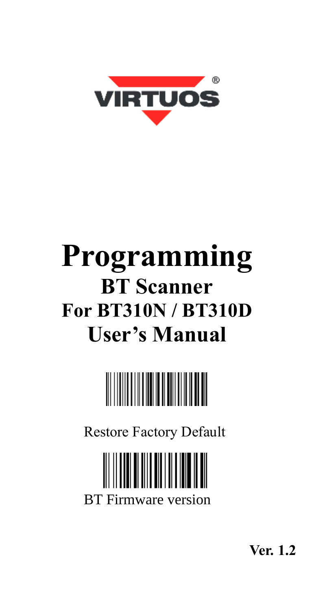

# **Programming BT Scanner For BT310N / BT310D User's Manual**



Restore Factory Default

BT Firmware version

**Ver. 1.2**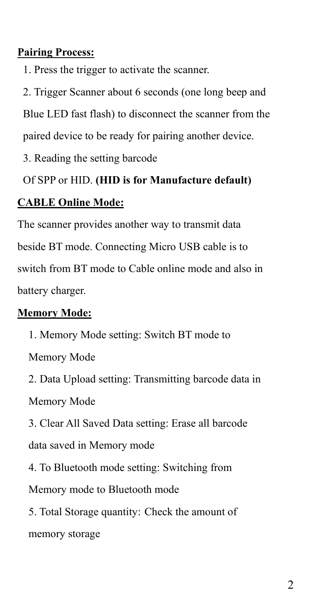#### **Pairing Process:**

1. Press the trigger to activate the scanner.

2. Trigger Scanner about 6 seconds (one long beep and Blue LED fast flash) to disconnect the scanner from the paired device to be ready for pairing another device.

3. Reading the setting barcode

# Of SPP or HID. **(HID is for Manufacture default)**

#### **CABLE Online Mode:**

The scanner provides another way to transmit data beside BT mode. Connecting Micro USB cable is to switch from BT mode to Cable online mode and also in battery charger.

#### **Memory Mode:**

1. Memory Mode setting: Switch BT mode to Memory Mode

2. Data Upload setting: Transmitting barcode data in Memory Mode

3. Clear All Saved Data setting: Erase all barcode data saved in Memory mode

4. To Bluetooth mode setting: Switching from

Memory mode to Bluetooth mode

5. Total Storage quantity: Check the amount of

memory storage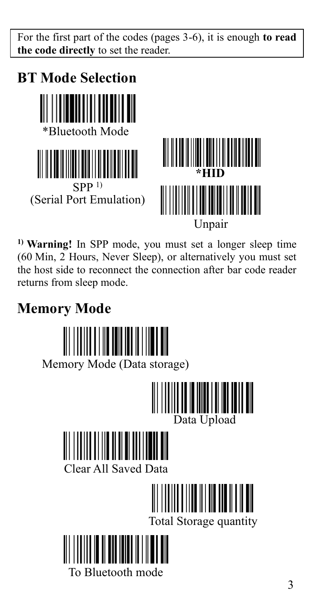For the first part of the codes (pages 3-6), it is enough **to read the code directly** to set the reader.



**1) Warning!** In SPP mode, you must set a longer sleep time (60 Min, 2 Hours, Never Sleep), or alternatively you must set the host side to reconnect the connection after bar code reader returns from sleep mode.

### **Memory Mode**

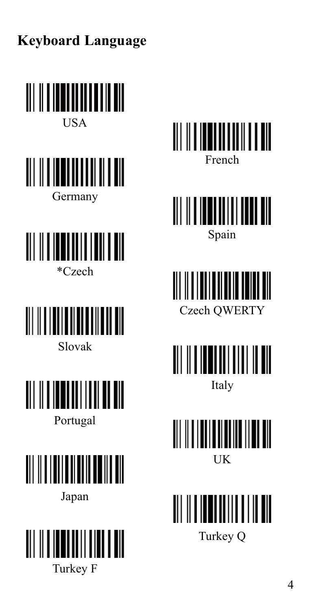**Keyboard Language**



Portugal



Japan











<u>MINISTERIN M</u> UK

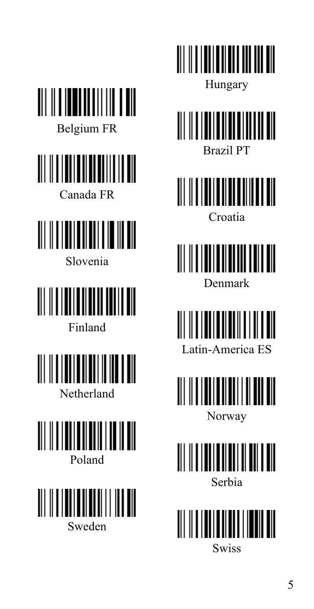| Belgium FR |  |  |  |  |  |  |  |
|------------|--|--|--|--|--|--|--|





Slovenia



Finland







Hungary

<u>|| || || || || || || || || ||</u> Brazil PT

WWW.WWW.WW Croatia

<u>|| || || || || || || || || ||</u> Denmark

<u>|| || || || || || || || || ||</u> Latin-America ES

<u> III III IIIIIIIII IIIIIIII</u> Norway



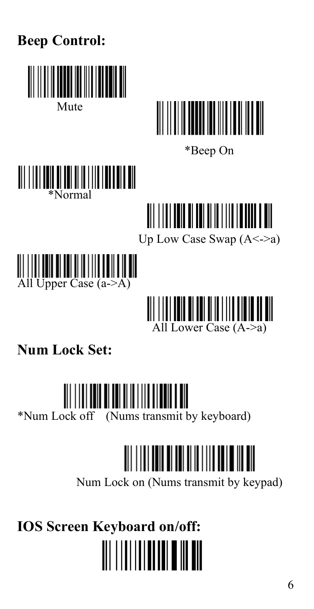

### **Num Lock Set:**

# **III III** IIII IIII IIII

\*Num Lock off (Nums transmit by keyboard)

# 

Num Lock on (Nums transmit by keypad)

**IOS Screen Keyboard on/off:**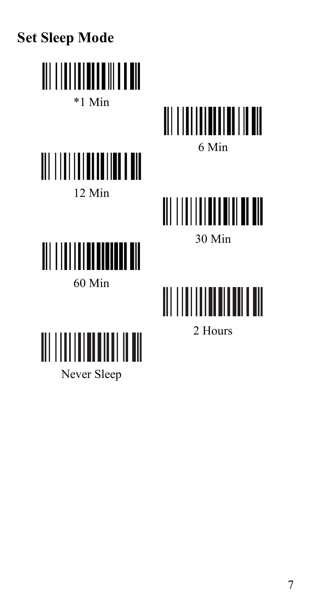





2 Hours

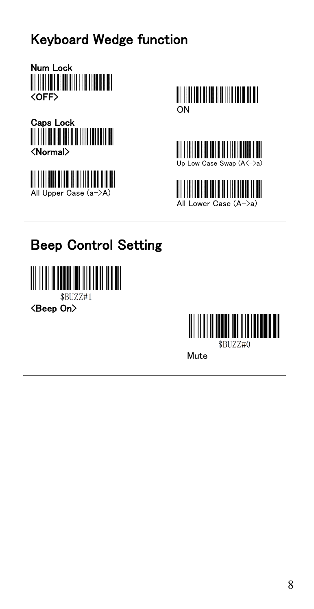## Keyboard Wedge function













## Beep Control Setting



\$BUZZ#1

<Beep On>



Mute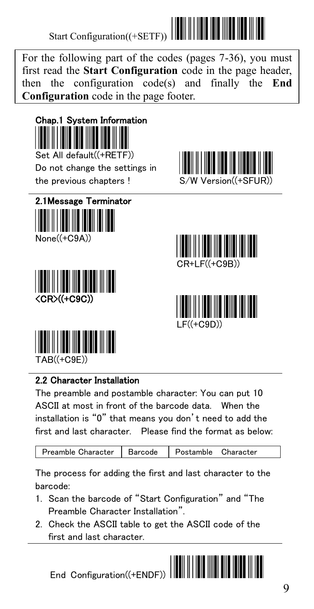For the following part of the codes (pages 7-36), you must first read the **Start Configuration** code in the page header, then the configuration code(s) and finally the **End Configuration** code in the page footer.



Do not change the settings in the previous chapters ! S/W Version((+SF













#### 2.2 Character Installation

The preamble and postamble character: You can put 10 ASCII at most in front of the barcode data. When the installation is "0" that means you don't need to add the first and last character. Please find the format as below:

| Preamble Character   Barcode   Postamble Character |  |  |  |  |
|----------------------------------------------------|--|--|--|--|
|----------------------------------------------------|--|--|--|--|

The process for adding the first and last character to the barcode:

- 1. Scan the barcode of "Start Configuration" and "The Preamble Character Installation".
- 2. Check the ASCII table to get the ASCII code of the first and last character.



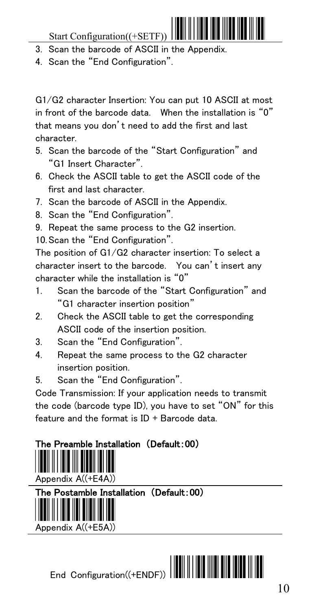- 3. Scan the barcode of ASCII in the Appendix.
- 4. Scan the "End Configuration".

G1/G2 character Insertion: You can put 10 ASCII at most in front of the barcode data. When the installation is "0" that means you don't need to add the first and last character.

- 5. Scan the barcode of the "Start Configuration" and "G1 Insert Character".
- 6. Check the ASCII table to get the ASCII code of the first and last character.
- 7. Scan the barcode of ASCII in the Appendix.
- 8. Scan the "End Configuration".
- 9. Repeat the same process to the G2 insertion.

10.Scan the "End Configuration".

The position of G1/G2 character insertion: To select a character insert to the barcode. You can't insert any character while the installation is "0"

- 1. Scan the barcode of the "Start Configuration" and "G1 character insertion position"
- 2. Check the ASCII table to get the corresponding ASCII code of the insertion position.
- 3. Scan the "End Configuration".
- 4. Repeat the same process to the G2 character insertion position.
- 5. Scan the "End Configuration".

Code Transmission: If your application needs to transmit the code (barcode type ID), you have to set "ON" for this feature and the format is ID + Barcode data.



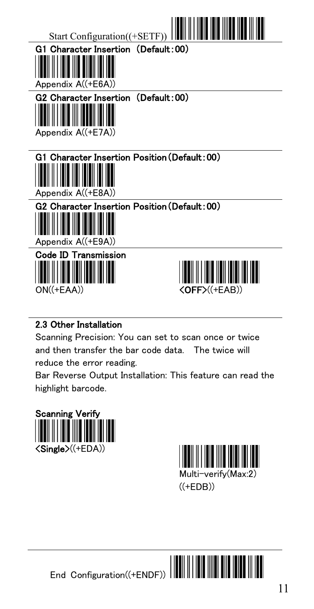

#### 2.3 Other Installation

Scanning Precision: You can set to scan once or twice and then transfer the bar code data. The twice will reduce the error reading.

Bar Reverse Output Installation: This feature can read the highlight barcode.



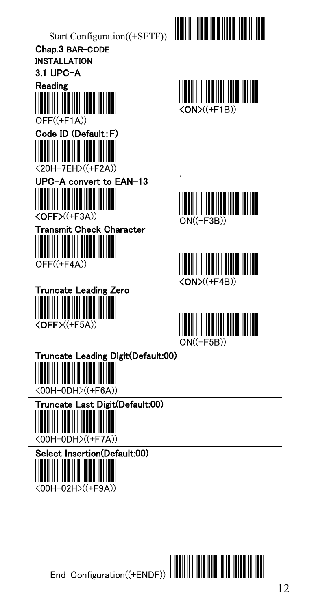





.





End Configuration((+ENDF))

 $\begin{array}{c} \hline \end{array}$ 

<00H-02H>((+F9A))

║║║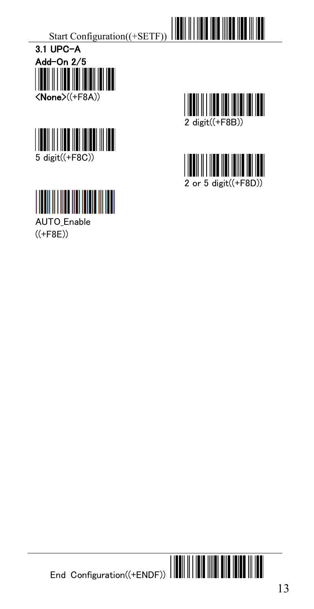



**AUTO** Enable  $((+F8E))$ 



III

2 or 5 digit((+F8D))



 $\blacksquare$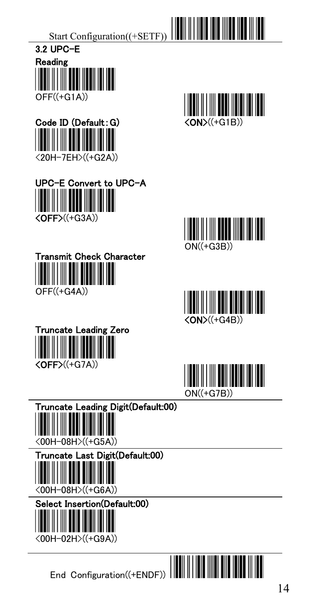







Truncate Leading Zero

 $\langle$ OFF $>(+G7A)$ )













<00H-02H>((+G9A))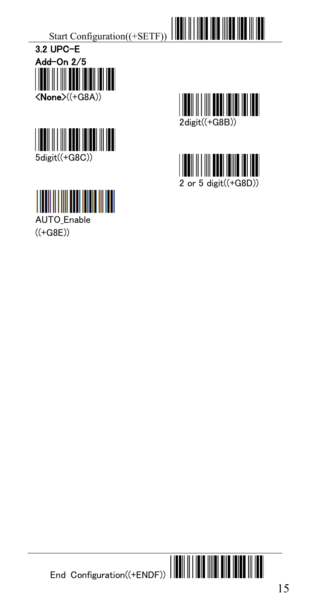



**IIII THE TELEVISION** 

AUTO\_Enable  $((+G8E))$ 



Ш



 $\blacksquare$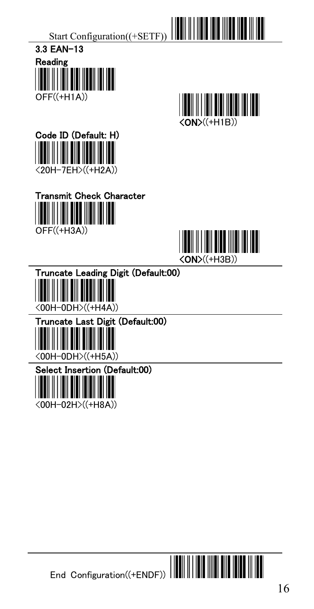













<00H-0DH>((+H5A))



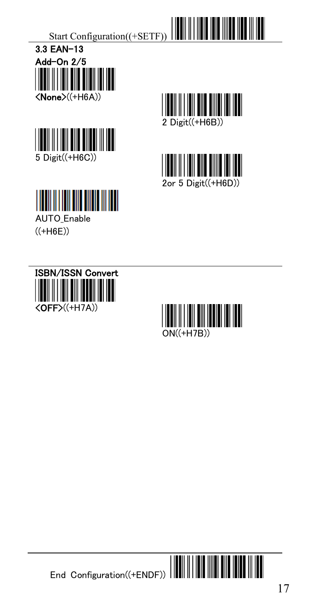





**AUTO** Enable  $((+H6E))$ 









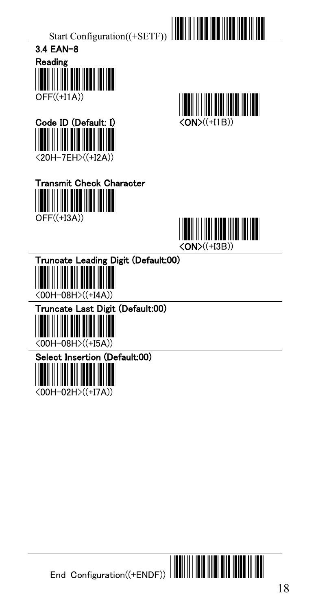

















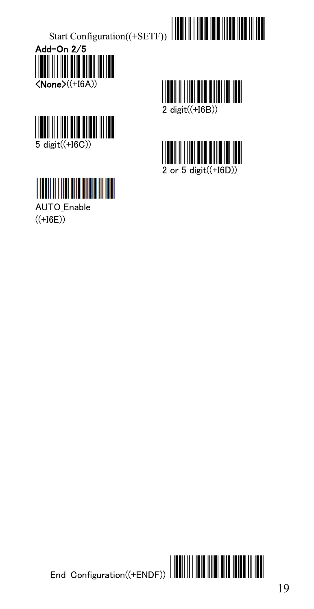





**AUTO** Enable  $((+16E))$ 



III



End Configuration((+ENDF))

III

 $\blacksquare$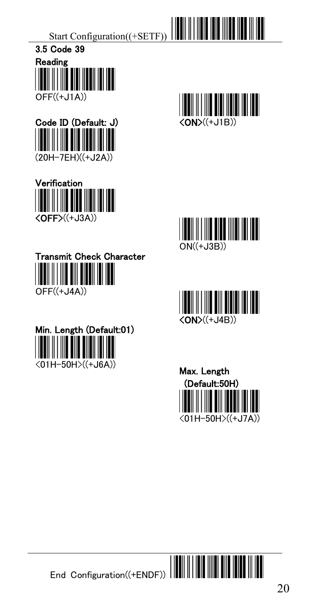

















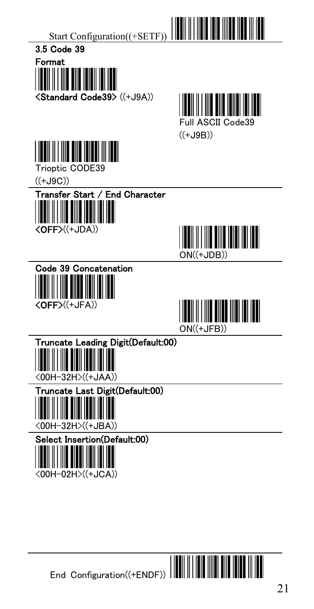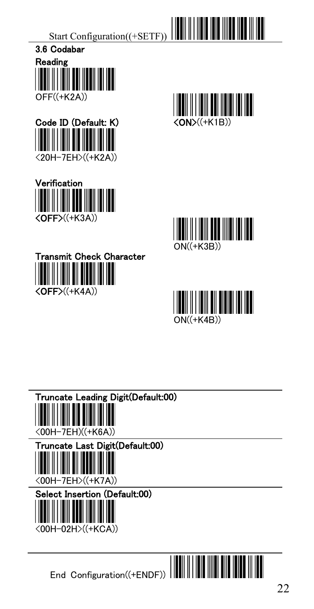













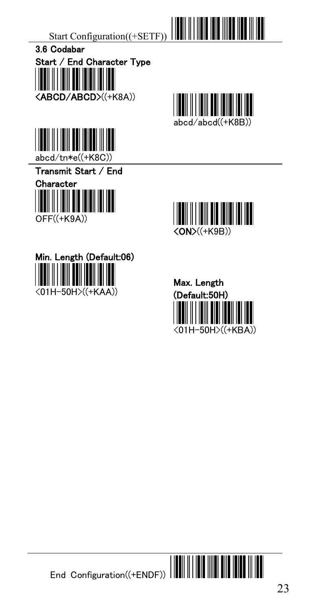













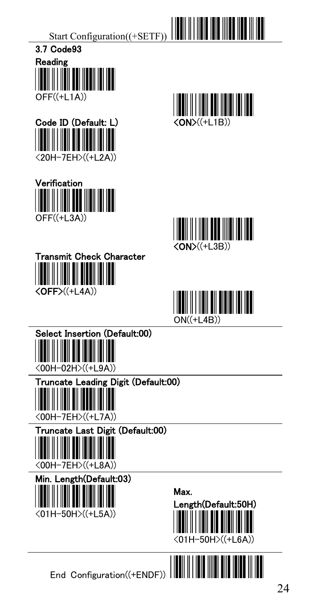















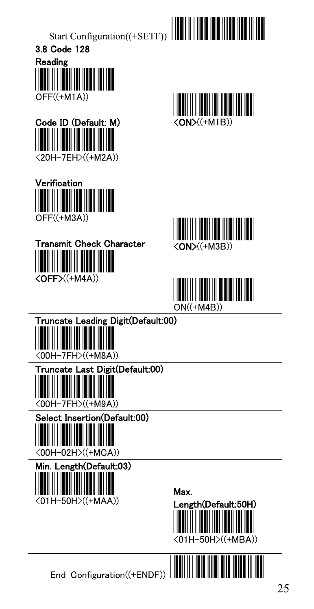













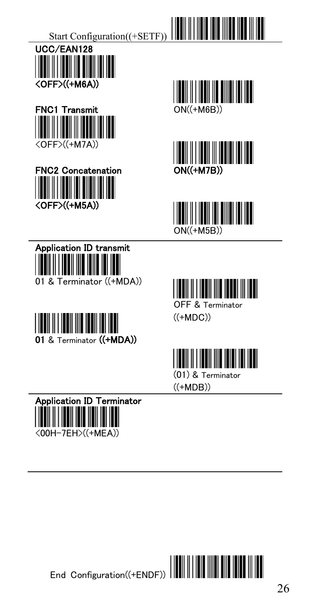



















(01) & Terminator ((+MDB))



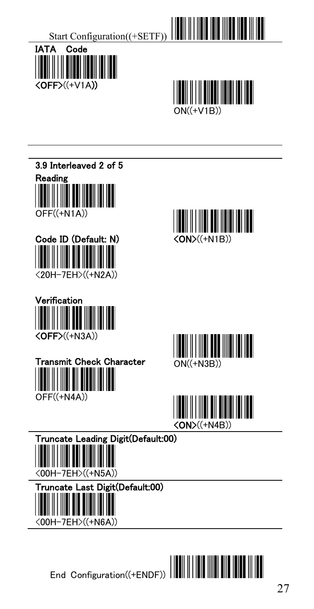



3.9 Interleaved 2 of 5 Reading OFF((+N1A))

















ast Digit(Default:00)



End Configuration((+ENDF))

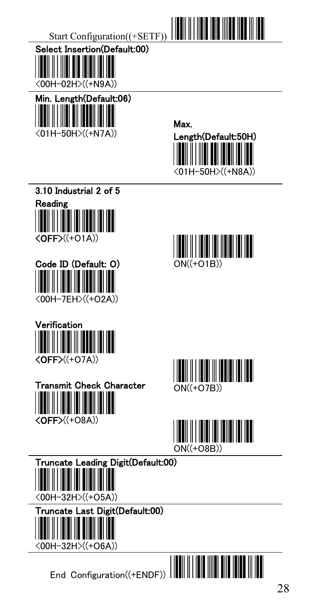

Select Insertion(Default:00) <00H-02H>((+N9A))



















#### Truncate Leading Digit(Default:00)







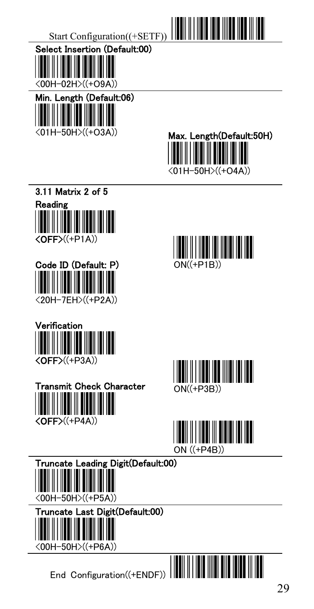

<00H-02H>((+O9A))



Max. Length(Default:50H) <01H-50H>((+O4A))



Code ID (Default: P) <20H-7EH>((+P2A))











#### Truncate Leading Digit(Default:00)



## st Digit(Default:00)



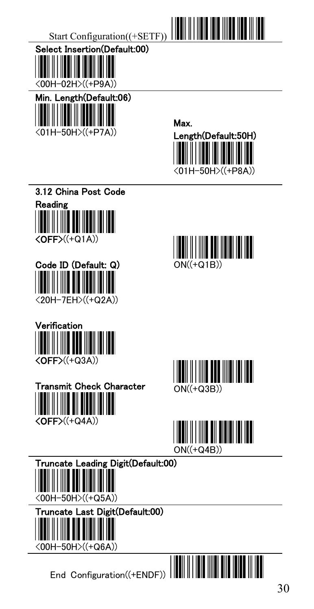



















#### Truncate Leading Digit(Default:00)



## st Digit(Default:00)

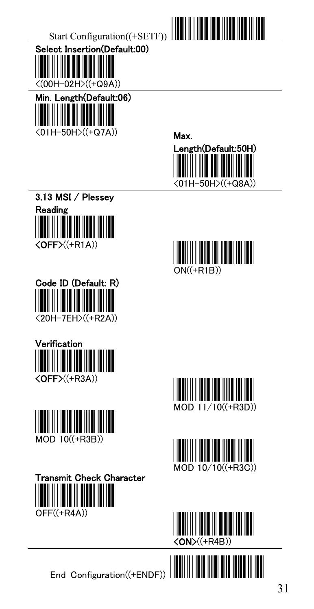





















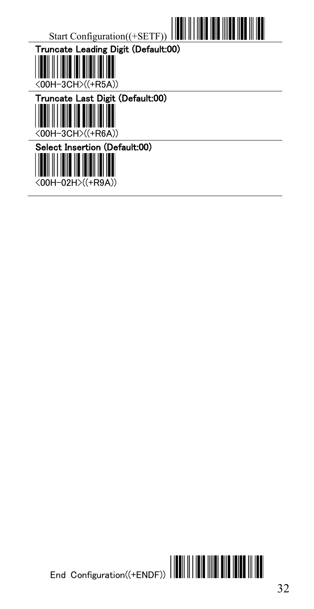



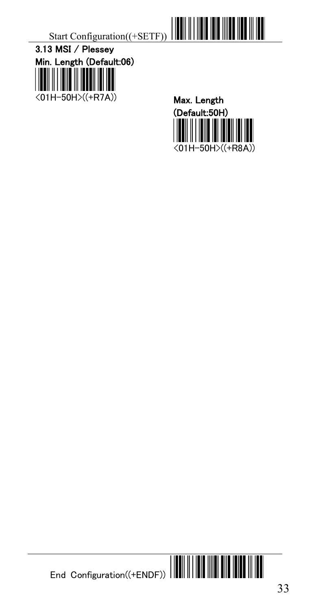







 $\blacksquare$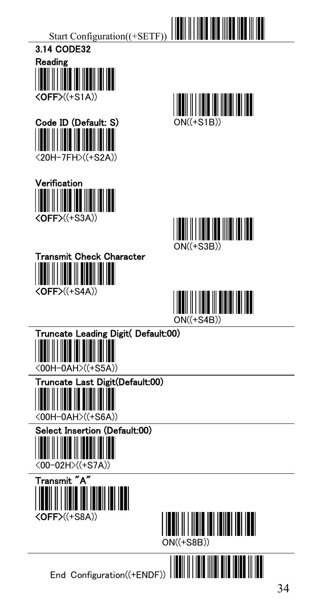













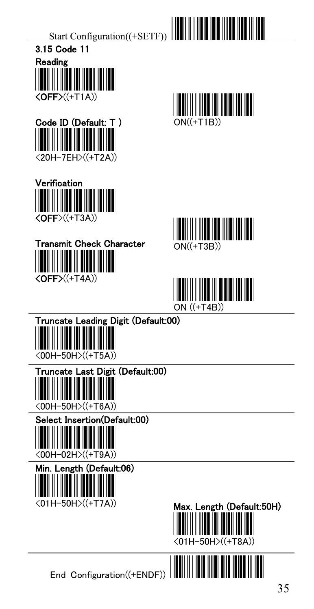













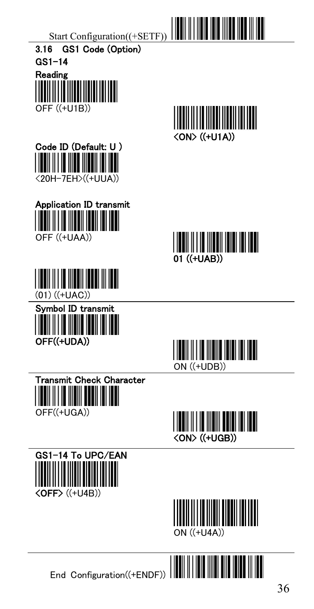



















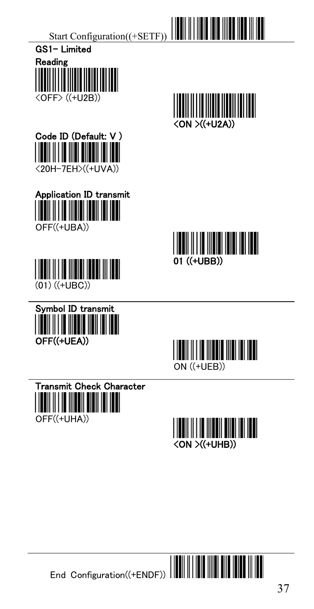



















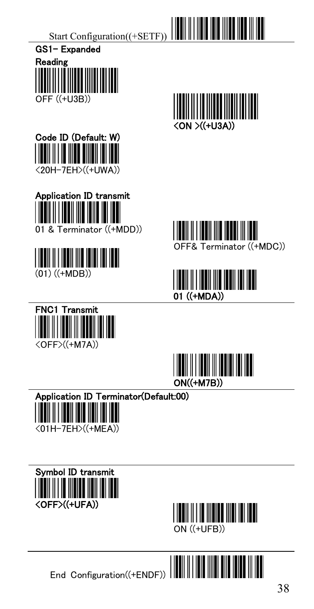











OFF& Terminator ((+MDC))







Application ID Terminator(Default:00)  $\overline{\phantom{a}}$ 

<01H-7EH>((+MEA))





End Configuration((+ENDF))

Ш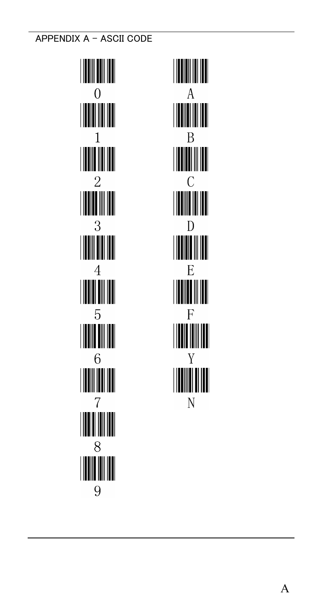APPENDIX A - ASCII CODE

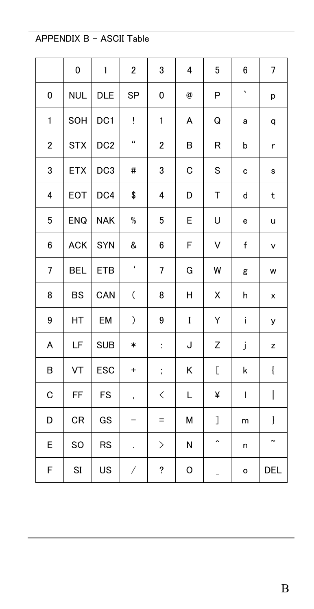#### APPENDIX B - ASCII Table

|   | 0          | $\mathbf{1}$    | $\mathbf 2$                      | 3                            | 4           | 5                   | 6       | 7           |
|---|------------|-----------------|----------------------------------|------------------------------|-------------|---------------------|---------|-------------|
| 0 | <b>NUL</b> | DLE             | SP                               | 0                            | $\circleda$ | P                   | $\cdot$ | p           |
| 1 | SOH        | DC1             | Ţ                                | 1                            | Α           | Q                   | а       | q           |
| 2 | <b>STX</b> | DC <sub>2</sub> | 44                               | $\overline{2}$               | В           | R                   | b       | r           |
| 3 | <b>ETX</b> | DC <sub>3</sub> | #                                | 3                            | C           | S                   | c       | s           |
| 4 | EOT        | DC4             | \$                               | 4                            | D           | Т                   | d       | t           |
| 5 | <b>ENQ</b> | <b>NAK</b>      | %                                | 5                            | E           | U                   | е       | u           |
| 6 | <b>ACK</b> | SYN             | &                                | 6                            | F           | V                   | f       | v           |
| 7 | <b>BEL</b> | <b>ETB</b>      | $\pmb{\epsilon}$                 | 7                            | G           | W                   | g       | w           |
| 8 | <b>BS</b>  | CAN             | $\overline{(\ }$                 | 8                            | Η           | Χ                   | h       | X           |
| 9 | HT         | EM              | )                                | 9                            | I           | Υ                   | i       | У           |
| A | LF         | <b>SUB</b>      | $\ast$                           | ÷                            | J           | Z                   | j       | z           |
| В | VT         | ESC             | $\begin{array}{c} + \end{array}$ | $\vdots$                     | Κ           | C                   | k       | $\{$        |
| C | FF         | FS              | $^\mathrm{''}$                   | $\lt$                        | L           | ¥                   | I       | I           |
| D | CR         | GS              | -                                | $=$                          | М           | J                   | m       | }           |
| E | SO         | RS              | ÷.                               | $\left\langle \right\rangle$ | N           | $\hat{\phantom{a}}$ | n       | $\tilde{ }$ |
| F | SI         | US              | /                                | ?                            | O           | $\overline{a}$      | $\circ$ | <b>DEL</b>  |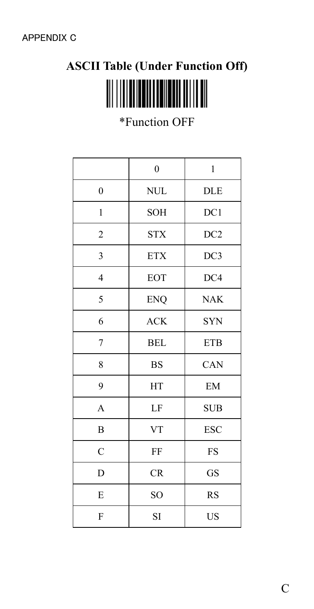# **ASCII Table (Under Function Off)**

\*Function OFF

|                | $\mathbf{0}$ | 1          |
|----------------|--------------|------------|
| $\overline{0}$ | <b>NUL</b>   | <b>DLE</b> |
| $\mathbf{1}$   | <b>SOH</b>   | DC1        |
| 2              | <b>STX</b>   | DC2        |
| 3              | <b>ETX</b>   | DC3        |
| $\overline{4}$ | EOT          | DC4        |
| 5              | <b>ENQ</b>   | <b>NAK</b> |
| 6              | <b>ACK</b>   | <b>SYN</b> |
| 7              | <b>BEL</b>   | <b>ETB</b> |
| 8              | <b>BS</b>    | CAN        |
| 9              | <b>HT</b>    | EM         |
| A              | LF           | <b>SUB</b> |
| B              | <b>VT</b>    | <b>ESC</b> |
| $\mathcal{C}$  | FF           | FS         |
| D              | CR           | GS         |
| E              | SO.          | <b>RS</b>  |
| F              | <b>SI</b>    | <b>US</b>  |